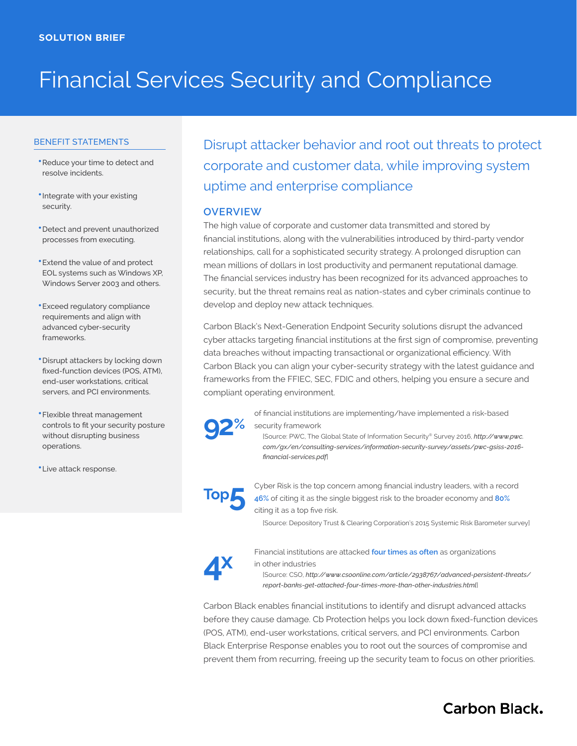# Financial Services Security and Compliance

## BENEFIT STATEMENTS

- **•** Reduce your time to detect and resolve incidents.
- Integrate with your existing security.
- Detect and prevent unauthorized processes from executing.
- **•** Extend the value of and protect EOL systems such as Windows XP, Windows Server 2003 and others.
- **•** Exceed regulatory compliance requirements and align with advanced cyber-security frameworks.
- Disrupt attackers by locking down fixed-function devices (POS, ATM), end-user workstations, critical servers, and PCI environments.
- **•**●Flexible threat management controls to fit your security posture without disrupting business operations.
- **•**●Live attack response.

Disrupt attacker behavior and root out threats to protect corporate and customer data, while improving system uptime and enterprise compliance

# **OVERVIEW**

The high value of corporate and customer data transmitted and stored by financial institutions, along with the vulnerabilities introduced by third-party vendor relationships, call for a sophisticated security strategy. A prolonged disruption can mean millions of dollars in lost productivity and permanent reputational damage. The financial services industry has been recognized for its advanced approaches to security, but the threat remains real as nation-states and cyber criminals continue to develop and deploy new attack techniques.

Carbon Black's Next-Generation Endpoint Security solutions disrupt the advanced cyber attacks targeting financial institutions at the first sign of compromise, preventing data breaches without impacting transactional or organizational efficiency. With Carbon Black you can align your cyber-security strategy with the latest guidance and frameworks from the FFIEC, SEC, FDIC and others, helping you ensure a secure and compliant operating environment.



of financial institutions are implementing/have implemented a risk-based security framework

[Source: PWC, The Global State of Information Security® Survey 2016, *[http://www.pwc.](http://www.pwc.com/gx/en/consulting-services/information-security-survey/assets/pwc-gsiss-2016-financial-services.pdf) [com/gx/en/consulting-services/information-security-survey/assets/pwc-gsiss-2016](http://www.pwc.com/gx/en/consulting-services/information-security-survey/assets/pwc-gsiss-2016-financial-services.pdf) [financial-services.pdf](http://www.pwc.com/gx/en/consulting-services/information-security-survey/assets/pwc-gsiss-2016-financial-services.pdf)*]

# **Top5**

Cyber Risk is the top concern among financial industry leaders, with a record **46%** of citing it as the single biggest risk to the broader economy and **80%** citing it as a top five risk.

[Source: Depository Trust & Clearing Corporation's 2015 Systemic Risk Barometer survey]



Financial institutions are attacked **four times as often** as organizations in other industries

[Source: CSO, *[http://www.csoonline.com/article/2938767/advanced-persistent-threats/](http://www.pwc.com/gx/en/consulting-services/information-security-survey/assets/pwc-gsiss-2016-financial-services.pdf) [report-banks-get-attacked-four-times-more-than-other-industries.html](http://www.pwc.com/gx/en/consulting-services/information-security-survey/assets/pwc-gsiss-2016-financial-services.pdf)*]

Carbon Black enables financial institutions to identify and disrupt advanced attacks before they cause damage. Cb Protection helps you lock down fixed-function devices (POS, ATM), end-user workstations, critical servers, and PCI environments. Carbon Black Enterprise Response enables you to root out the sources of compromise and prevent them from recurring, freeing up the security team to focus on other priorities.

# **Carbon Black.**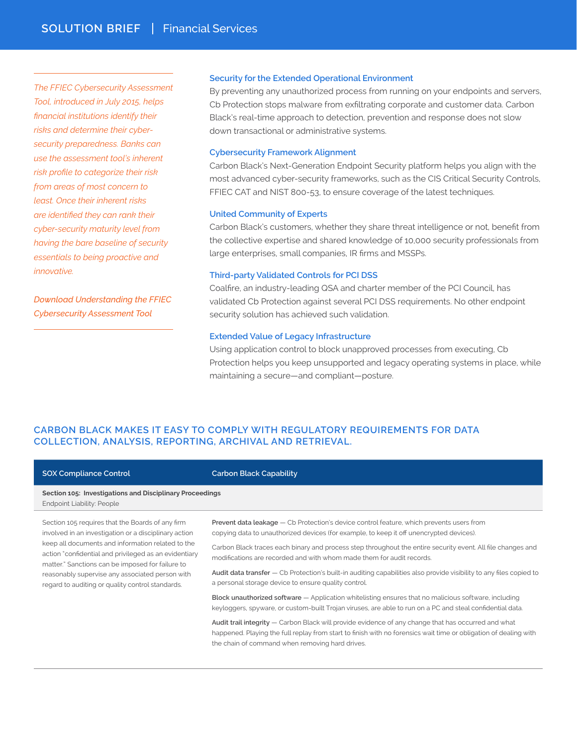*The FFIEC Cybersecurity Assessment Tool, introduced in July 2015, helps financial institutions identify their risks and determine their cybersecurity preparedness. Banks can use the assessment tool's inherent risk profile to categorize their risk from areas of most concern to least. Once their inherent risks are identified they can rank their cyber-security maturity level from having the bare baseline of security essentials to being proactive and innovative.* 

*[Download Understanding the FFIEC](https://www.carbonblack.com/files/ebook-understanding-the-ffiec-cybersecurity-assessment-tool/)  [Cybersecurity Assessment Tool](https://www.carbonblack.com/files/ebook-understanding-the-ffiec-cybersecurity-assessment-tool/)*

### **Security for the Extended Operational Environment**

By preventing any unauthorized process from running on your endpoints and servers, Cb Protection stops malware from exfiltrating corporate and customer data. Carbon Black's real-time approach to detection, prevention and response does not slow down transactional or administrative systems.

#### **Cybersecurity Framework Alignment**

Carbon Black's Next-Generation Endpoint Security platform helps you align with the most advanced cyber-security frameworks, such as the CIS Critical Security Controls, FFIEC CAT and NIST 800-53, to ensure coverage of the latest techniques.

#### **United Community of Experts**

Carbon Black's customers, whether they share threat intelligence or not, benefit from the collective expertise and shared knowledge of 10,000 security professionals from large enterprises, small companies, IR firms and MSSPs.

#### **Third-party Validated Controls for PCI DSS**

Coalfire, an industry-leading QSA and charter member of the PCI Council, has validated Cb Protection against several PCI DSS requirements. No other endpoint security solution has achieved such validation.

### **Extended Value of Legacy Infrastructure**

Using application control to block unapproved processes from executing, Cb Protection helps you keep unsupported and legacy operating systems in place, while maintaining a secure—and compliant—posture.

# **CARBON BLACK MAKES IT EASY TO COMPLY WITH REGULATORY REQUIREMENTS FOR DATA COLLECTION, ANALYSIS, REPORTING, ARCHIVAL AND RETRIEVAL.**

| <b>SOX Compliance Control</b>                                                                                                                                                                                                                                                                                                                                                      | <b>Carbon Black Capability</b>                                                                                                                                                                                             |
|------------------------------------------------------------------------------------------------------------------------------------------------------------------------------------------------------------------------------------------------------------------------------------------------------------------------------------------------------------------------------------|----------------------------------------------------------------------------------------------------------------------------------------------------------------------------------------------------------------------------|
| Section 105: Investigations and Disciplinary Proceedings<br>Endpoint Liability: People                                                                                                                                                                                                                                                                                             |                                                                                                                                                                                                                            |
| Section 105 requires that the Boards of any firm<br>involved in an investigation or a disciplinary action<br>keep all documents and information related to the<br>action "confidential and privileged as an evidentiary<br>matter." Sanctions can be imposed for failure to<br>reasonably supervise any associated person with<br>regard to auditing or quality control standards. | <b>Prevent data leakage</b> - Cb Protection's device control feature, which prevents users from<br>copying data to unauthorized devices (for example, to keep it off unencrypted devices).                                 |
|                                                                                                                                                                                                                                                                                                                                                                                    | Carbon Black traces each binary and process step throughout the entire security event. All file changes and<br>modifications are recorded and with whom made them for audit records.                                       |
|                                                                                                                                                                                                                                                                                                                                                                                    | Audit data transfer - Cb Protection's built-in auditing capabilities also provide visibility to any files copied to<br>a personal storage device to ensure quality control.                                                |
|                                                                                                                                                                                                                                                                                                                                                                                    | <b>Block unauthorized software</b> $-$ Application whitelisting ensures that no malicious software, including<br>keyloggers, spyware, or custom-built Trojan viruses, are able to run on a PC and steal confidential data. |
|                                                                                                                                                                                                                                                                                                                                                                                    | Audit trail integrity — Carbon Black will provide evidence of any change that has occurred and what<br>happened. Playing the full replay from start to finish with no forensics wait time or obligation of dealing with    |

the chain of command when removing hard drives.